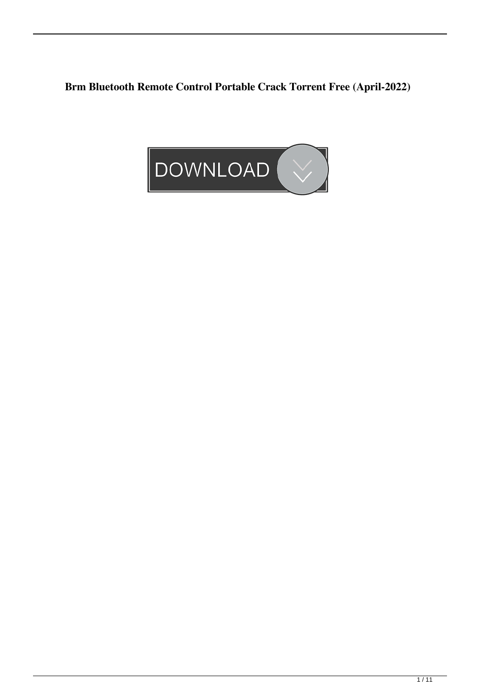**Brm Bluetooth Remote Control Portable Crack Torrent Free (April-2022)**

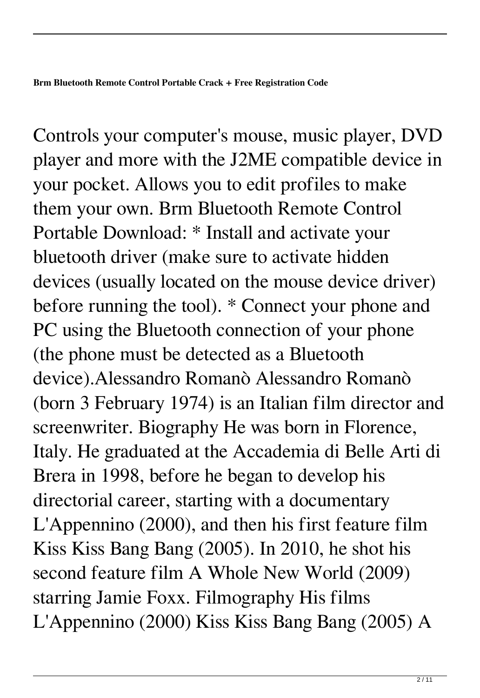Controls your computer's mouse, music player, DVD player and more with the J2ME compatible device in your pocket. Allows you to edit profiles to make them your own. Brm Bluetooth Remote Control Portable Download: \* Install and activate your bluetooth driver (make sure to activate hidden devices (usually located on the mouse device driver) before running the tool). \* Connect your phone and PC using the Bluetooth connection of your phone (the phone must be detected as a Bluetooth device).Alessandro Romanò Alessandro Romanò (born 3 February 1974) is an Italian film director and screenwriter. Biography He was born in Florence, Italy. He graduated at the Accademia di Belle Arti di Brera in 1998, before he began to develop his directorial career, starting with a documentary L'Appennino (2000), and then his first feature film Kiss Kiss Bang Bang (2005). In 2010, he shot his second feature film A Whole New World (2009) starring Jamie Foxx. Filmography His films L'Appennino (2000) Kiss Kiss Bang Bang (2005) A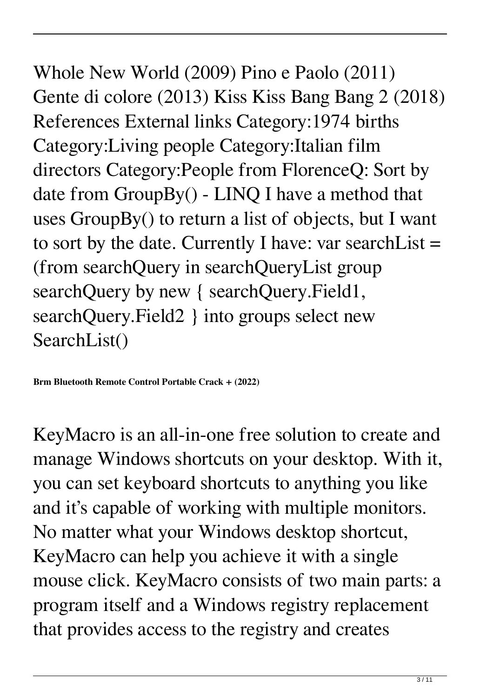Whole New World (2009) Pino e Paolo (2011) Gente di colore (2013) Kiss Kiss Bang Bang 2 (2018) References External links Category:1974 births Category:Living people Category:Italian film directors Category:People from FlorenceQ: Sort by date from GroupBy() - LINQ I have a method that uses GroupBy() to return a list of objects, but I want to sort by the date. Currently I have: var search List  $=$ (from searchQuery in searchQueryList group searchQuery by new { searchQuery.Field1, searchQuery.Field2 } into groups select new SearchList()

**Brm Bluetooth Remote Control Portable Crack + (2022)**

KeyMacro is an all-in-one free solution to create and manage Windows shortcuts on your desktop. With it, you can set keyboard shortcuts to anything you like and it's capable of working with multiple monitors. No matter what your Windows desktop shortcut, KeyMacro can help you achieve it with a single mouse click. KeyMacro consists of two main parts: a program itself and a Windows registry replacement that provides access to the registry and creates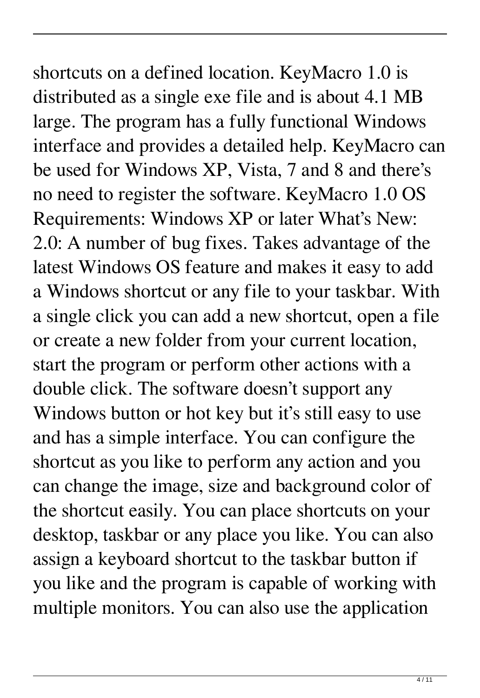shortcuts on a defined location. KeyMacro 1.0 is distributed as a single exe file and is about 4.1 MB large. The program has a fully functional Windows interface and provides a detailed help. KeyMacro can be used for Windows XP, Vista, 7 and 8 and there's no need to register the software. KeyMacro 1.0 OS Requirements: Windows XP or later What's New: 2.0: A number of bug fixes. Takes advantage of the latest Windows OS feature and makes it easy to add a Windows shortcut or any file to your taskbar. With a single click you can add a new shortcut, open a file or create a new folder from your current location, start the program or perform other actions with a double click. The software doesn't support any Windows button or hot key but it's still easy to use and has a simple interface. You can configure the shortcut as you like to perform any action and you can change the image, size and background color of the shortcut easily. You can place shortcuts on your desktop, taskbar or any place you like. You can also assign a keyboard shortcut to the taskbar button if you like and the program is capable of working with multiple monitors. You can also use the application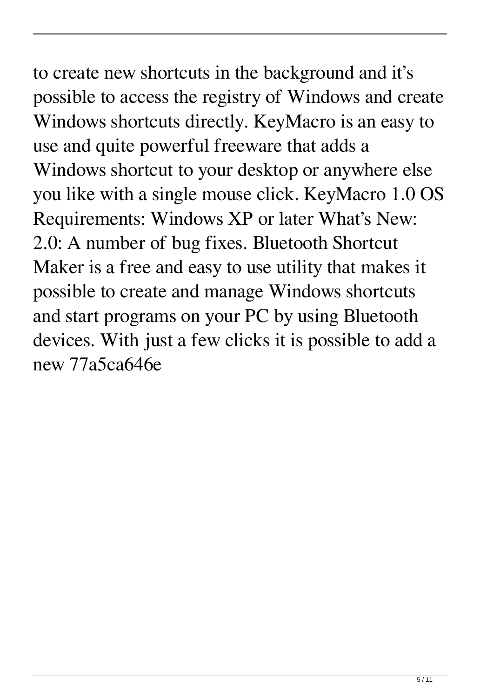to create new shortcuts in the background and it's possible to access the registry of Windows and create Windows shortcuts directly. KeyMacro is an easy to use and quite powerful freeware that adds a Windows shortcut to your desktop or anywhere else you like with a single mouse click. KeyMacro 1.0 OS Requirements: Windows XP or later What's New: 2.0: A number of bug fixes. Bluetooth Shortcut Maker is a free and easy to use utility that makes it possible to create and manage Windows shortcuts and start programs on your PC by using Bluetooth devices. With just a few clicks it is possible to add a new 77a5ca646e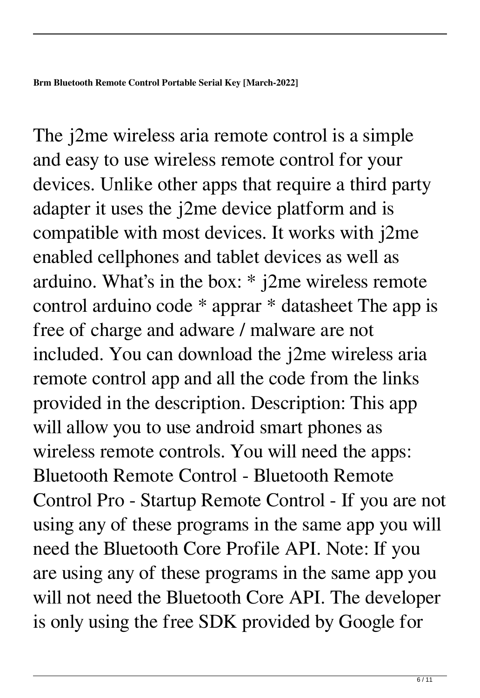The *j*2me wireless aria remote control is a simple and easy to use wireless remote control for your devices. Unlike other apps that require a third party adapter it uses the j2me device platform and is compatible with most devices. It works with j2me enabled cellphones and tablet devices as well as arduino. What's in the box: \* j2me wireless remote control arduino code \* apprar \* datasheet The app is free of charge and adware / malware are not included. You can download the j2me wireless aria remote control app and all the code from the links provided in the description. Description: This app will allow you to use android smart phones as wireless remote controls. You will need the apps: Bluetooth Remote Control - Bluetooth Remote Control Pro - Startup Remote Control - If you are not using any of these programs in the same app you will need the Bluetooth Core Profile API. Note: If you are using any of these programs in the same app you will not need the Bluetooth Core API. The developer is only using the free SDK provided by Google for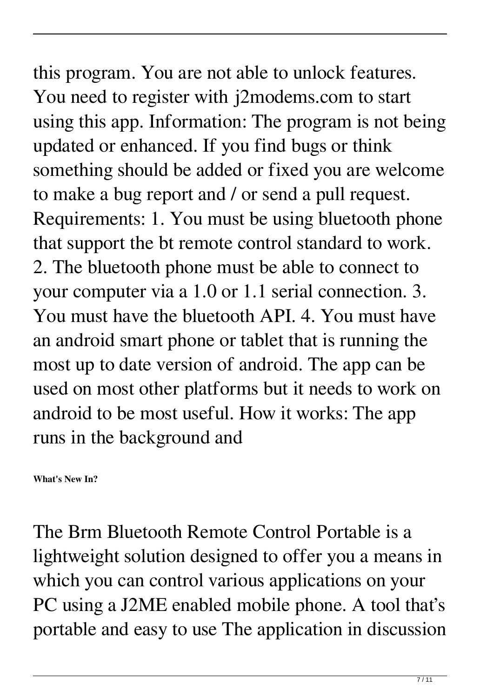this program. You are not able to unlock features. You need to register with j2modems.com to start using this app. Information: The program is not being updated or enhanced. If you find bugs or think something should be added or fixed you are welcome to make a bug report and / or send a pull request. Requirements: 1. You must be using bluetooth phone that support the bt remote control standard to work. 2. The bluetooth phone must be able to connect to your computer via a 1.0 or 1.1 serial connection. 3. You must have the bluetooth API. 4. You must have an android smart phone or tablet that is running the most up to date version of android. The app can be used on most other platforms but it needs to work on android to be most useful. How it works: The app runs in the background and

**What's New In?**

The Brm Bluetooth Remote Control Portable is a lightweight solution designed to offer you a means in which you can control various applications on your PC using a J2ME enabled mobile phone. A tool that's portable and easy to use The application in discussion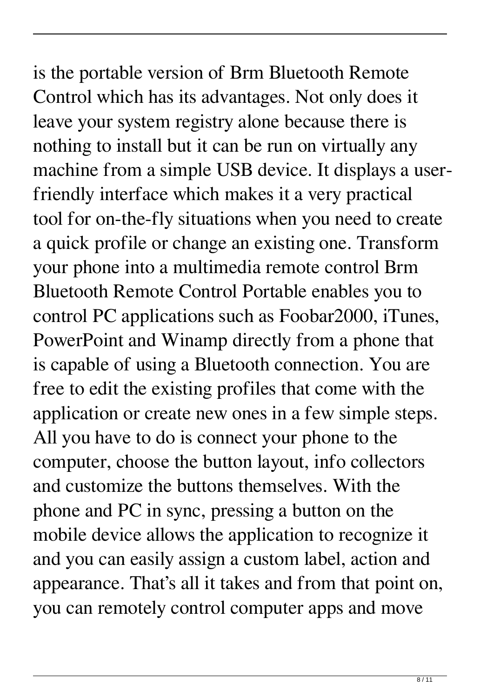is the portable version of Brm Bluetooth Remote Control which has its advantages. Not only does it leave your system registry alone because there is nothing to install but it can be run on virtually any machine from a simple USB device. It displays a userfriendly interface which makes it a very practical tool for on-the-fly situations when you need to create a quick profile or change an existing one. Transform your phone into a multimedia remote control Brm Bluetooth Remote Control Portable enables you to control PC applications such as Foobar2000, iTunes, PowerPoint and Winamp directly from a phone that is capable of using a Bluetooth connection. You are free to edit the existing profiles that come with the application or create new ones in a few simple steps. All you have to do is connect your phone to the computer, choose the button layout, info collectors and customize the buttons themselves. With the phone and PC in sync, pressing a button on the mobile device allows the application to recognize it and you can easily assign a custom label, action and appearance. That's all it takes and from that point on, you can remotely control computer apps and move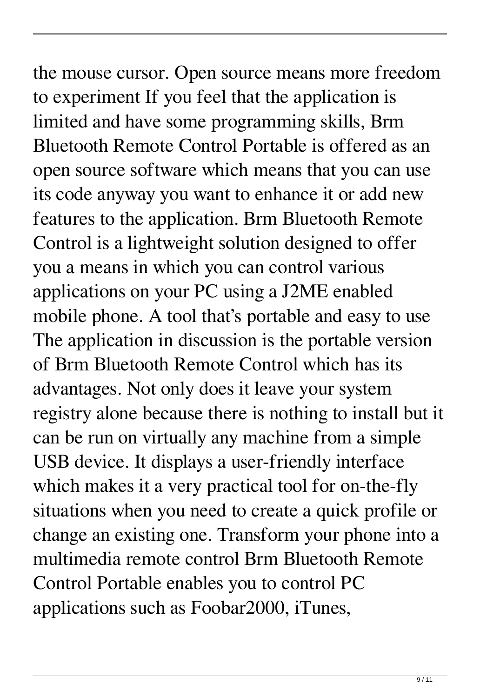the mouse cursor. Open source means more freedom to experiment If you feel that the application is limited and have some programming skills, Brm Bluetooth Remote Control Portable is offered as an open source software which means that you can use its code anyway you want to enhance it or add new features to the application. Brm Bluetooth Remote Control is a lightweight solution designed to offer you a means in which you can control various applications on your PC using a J2ME enabled mobile phone. A tool that's portable and easy to use The application in discussion is the portable version of Brm Bluetooth Remote Control which has its advantages. Not only does it leave your system registry alone because there is nothing to install but it can be run on virtually any machine from a simple USB device. It displays a user-friendly interface which makes it a very practical tool for on-the-fly situations when you need to create a quick profile or change an existing one. Transform your phone into a multimedia remote control Brm Bluetooth Remote Control Portable enables you to control PC applications such as Foobar2000, iTunes,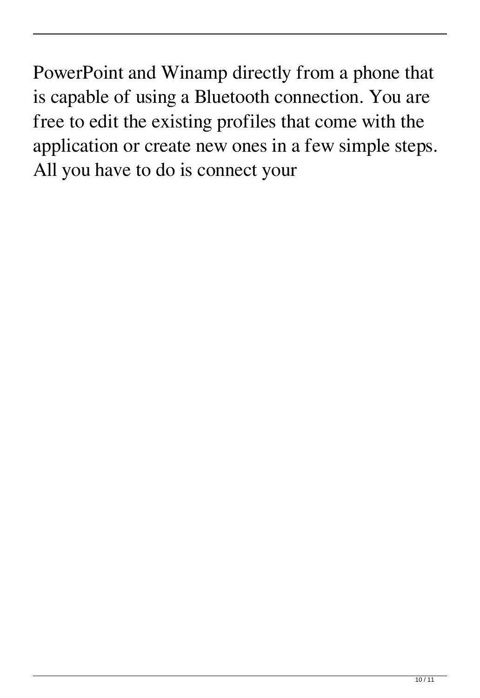PowerPoint and Winamp directly from a phone that is capable of using a Bluetooth connection. You are free to edit the existing profiles that come with the application or create new ones in a few simple steps. All you have to do is connect your